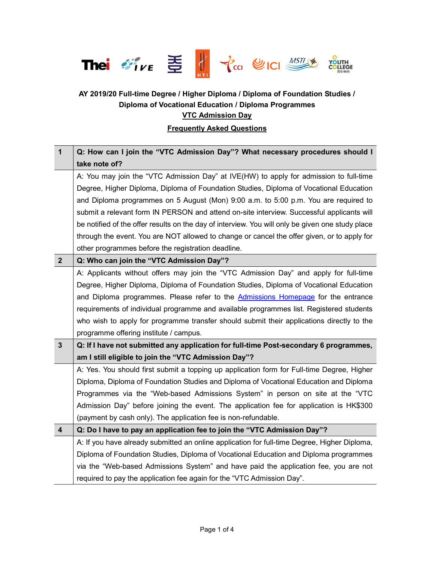

## AY 2019/20 Full-time Degree / Higher Diploma / Diploma of Foundation Studies / Diploma of Vocational Education / Diploma Programmes **VTC Admission Day**

## Frequently Asked Questions

| $\mathbf{1}$     | Q: How can I join the "VTC Admission Day"? What necessary procedures should I                    |
|------------------|--------------------------------------------------------------------------------------------------|
|                  | take note of?                                                                                    |
|                  | A: You may join the "VTC Admission Day" at IVE(HW) to apply for admission to full-time           |
|                  | Degree, Higher Diploma, Diploma of Foundation Studies, Diploma of Vocational Education           |
|                  | and Diploma programmes on 5 August (Mon) 9:00 a.m. to 5:00 p.m. You are required to              |
|                  | submit a relevant form IN PERSON and attend on-site interview. Successful applicants will        |
|                  | be notified of the offer results on the day of interview. You will only be given one study place |
|                  | through the event. You are NOT allowed to change or cancel the offer given, or to apply for      |
|                  | other programmes before the registration deadline.                                               |
| $\overline{2}$   | Q: Who can join the "VTC Admission Day"?                                                         |
|                  | A: Applicants without offers may join the "VTC Admission Day" and apply for full-time            |
|                  | Degree, Higher Diploma, Diploma of Foundation Studies, Diploma of Vocational Education           |
|                  | and Diploma programmes. Please refer to the Admissions Homepage for the entrance                 |
|                  | requirements of individual programme and available programmes list. Registered students          |
|                  | who wish to apply for programme transfer should submit their applications directly to the        |
|                  | programme offering institute / campus.                                                           |
| $\mathbf{3}$     | Q: If I have not submitted any application for full-time Post-secondary 6 programmes,            |
|                  | am I still eligible to join the "VTC Admission Day"?                                             |
|                  | A: Yes. You should first submit a topping up application form for Full-time Degree, Higher       |
|                  | Diploma, Diploma of Foundation Studies and Diploma of Vocational Education and Diploma           |
|                  | Programmes via the "Web-based Admissions System" in person on site at the "VTC                   |
|                  | Admission Day" before joining the event. The application fee for application is HK\$300          |
|                  | (payment by cash only). The application fee is non-refundable.                                   |
| $\boldsymbol{4}$ | Q: Do I have to pay an application fee to join the "VTC Admission Day"?                          |
|                  | A: If you have already submitted an online application for full-time Degree, Higher Diploma,     |
|                  | Diploma of Foundation Studies, Diploma of Vocational Education and Diploma programmes            |
|                  | via the "Web-based Admissions System" and have paid the application fee, you are not             |
|                  | required to pay the application fee again for the "VTC Admission Day".                           |